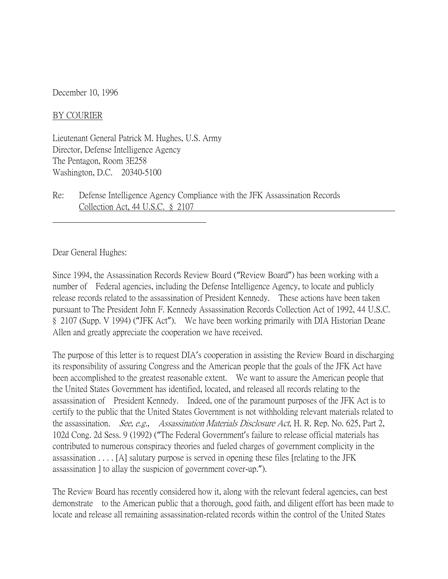December 10, 1996

BY COURIER

Lieutenant General Patrick M. Hughes, U.S. Army Director, Defense Intelligence Agency The Pentagon, Room 3E258 Washington, D.C. 20340-5100

Re: Defense Intelligence Agency Compliance with the JFK Assassination Records Collection Act, 44 U.S.C. § 2107

Dear General Hughes:

Since 1994, the Assassination Records Review Board ("Review Board") has been working with a number of Federal agencies, including the Defense Intelligence Agency, to locate and publicly release records related to the assassination of President Kennedy. These actions have been taken pursuant to The President John F. Kennedy Assassination Records Collection Act of 1992, 44 U.S.C. § 2107 (Supp. V 1994) ("JFK Act"). We have been working primarily with DIA Historian Deane Allen and greatly appreciate the cooperation we have received.

The purpose of this letter is to request DIA's cooperation in assisting the Review Board in discharging its responsibility of assuring Congress and the American people that the goals of the JFK Act have been accomplished to the greatest reasonable extent. We want to assure the American people that the United States Government has identified, located, and released all records relating to the assassination of President Kennedy. Indeed, one of the paramount purposes of the JFK Act is to certify to the public that the United States Government is not withholding relevant materials related to the assassination. *See, e.g., Assassination Materials Disclosure Act*, H. R. Rep. No. 625, Part 2, 102d Cong. 2d Sess. 9 (1992) ("The Federal Government's failure to release official materials has contributed to numerous conspiracy theories and fueled charges of government complicity in the assassination . . . . [A] salutary purpose is served in opening these files [relating to the JFK assassination ] to allay the suspicion of government cover-up.").

The Review Board has recently considered how it, along with the relevant federal agencies, can best demonstrate to the American public that a thorough, good faith, and diligent effort has been made to locate and release all remaining assassination-related records within the control of the United States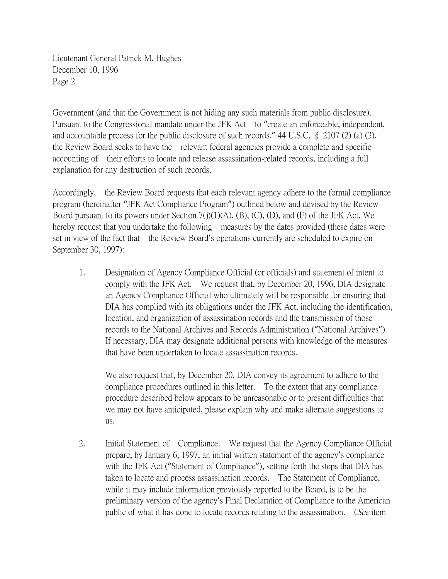Government (and that the Government is not hiding any such materials from public disclosure). Pursuant to the Congressional mandate under the JFK Act to "create an enforceable, independent, and accountable process for the public disclosure of such records," 44 U.S.C. § 2107 (2) (a) (3), the Review Board seeks to have the relevant federal agencies provide a complete and specific accounting of their efforts to locate and release assassination-related records, including a full explanation for any destruction of such records.

Accordingly, the Review Board requests that each relevant agency adhere to the formal compliance program (hereinafter "JFK Act Compliance Program") outlined below and devised by the Review Board pursuant to its powers under Section 7(j)(1)(A), (B), (C), (D), and (F) of the JFK Act. We hereby request that you undertake the following measures by the dates provided (these dates were set in view of the fact that the Review Board's operations currently are scheduled to expire on September 30, 1997):

1. Designation of Agency Compliance Official (or officials) and statement of intent to comply with the JFK Act. We request that, by December 20, 1996, DIA designate an Agency Compliance Official who ultimately will be responsible for ensuring that DIA has complied with its obligations under the JFK Act, including the identification, location, and organization of assassination records and the transmission of those records to the National Archives and Records Administration ("National Archives"). If necessary, DIA may designate additional persons with knowledge of the measures that have been undertaken to locate assassination records.

We also request that, by December 20, DIA convey its agreement to adhere to the compliance procedures outlined in this letter. To the extent that any compliance procedure described below appears to be unreasonable or to present difficulties that we may not have anticipated, please explain why and make alternate suggestions to us.

2. Initial Statement of Compliance. We request that the Agency Compliance Official prepare, by January 6, 1997, an initial written statement of the agency's compliance with the JFK Act ("Statement of Compliance"), setting forth the steps that DIA has taken to locate and process assassination records. The Statement of Compliance, while it may include information previously reported to the Board, is to be the preliminary version of the agency's Final Declaration of Compliance to the American public of what it has done to locate records relating to the assassination. (See item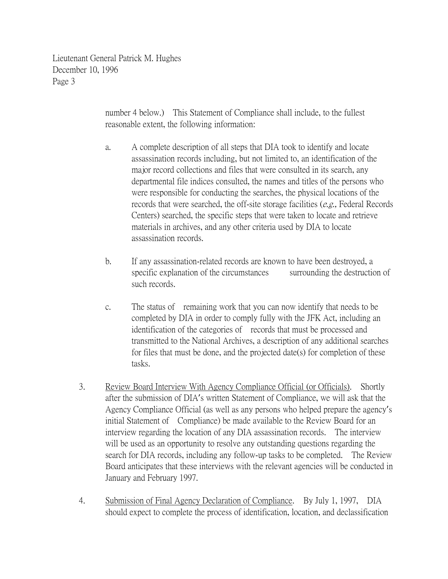> number 4 below.) This Statement of Compliance shall include, to the fullest reasonable extent, the following information:

- a. A complete description of all steps that DIA took to identify and locate assassination records including, but not limited to, an identification of the major record collections and files that were consulted in its search, any departmental file indices consulted, the names and titles of the persons who were responsible for conducting the searches, the physical locations of the records that were searched, the off-site storage facilities (e.g., Federal Records Centers) searched, the specific steps that were taken to locate and retrieve materials in archives, and any other criteria used by DIA to locate assassination records.
- b. If any assassination-related records are known to have been destroyed, a specific explanation of the circumstances surrounding the destruction of such records.
- c. The status of remaining work that you can now identify that needs to be completed by DIA in order to comply fully with the JFK Act, including an identification of the categories of records that must be processed and transmitted to the National Archives, a description of any additional searches for files that must be done, and the projected date(s) for completion of these tasks.
- 3. Review Board Interview With Agency Compliance Official (or Officials). Shortly after the submission of DIA's written Statement of Compliance, we will ask that the Agency Compliance Official (as well as any persons who helped prepare the agency's initial Statement of Compliance) be made available to the Review Board for an interview regarding the location of any DIA assassination records. The interview will be used as an opportunity to resolve any outstanding questions regarding the search for DIA records, including any follow-up tasks to be completed. The Review Board anticipates that these interviews with the relevant agencies will be conducted in January and February 1997.
- 4. Submission of Final Agency Declaration of Compliance. By July 1, 1997, DIA should expect to complete the process of identification, location, and declassification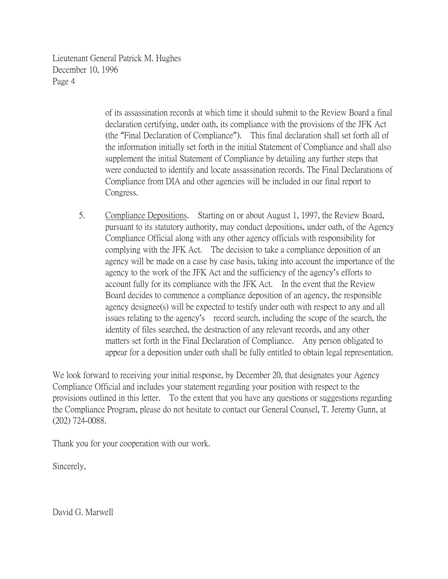> of its assassination records at which time it should submit to the Review Board a final declaration certifying, under oath, its compliance with the provisions of the JFK Act (the "Final Declaration of Compliance"). This final declaration shall set forth all of the information initially set forth in the initial Statement of Compliance and shall also supplement the initial Statement of Compliance by detailing any further steps that were conducted to identify and locate assassination records. The Final Declarations of Compliance from DIA and other agencies will be included in our final report to Congress.

5. Compliance Depositions. Starting on or about August 1, 1997, the Review Board, pursuant to its statutory authority, may conduct depositions, under oath, of the Agency Compliance Official along with any other agency officials with responsibility for complying with the JFK Act. The decision to take a compliance deposition of an agency will be made on a case by case basis, taking into account the importance of the agency to the work of the JFK Act and the sufficiency of the agency's efforts to account fully for its compliance with the JFK Act. In the event that the Review Board decides to commence a compliance deposition of an agency, the responsible agency designee(s) will be expected to testify under oath with respect to any and all issues relating to the agency's record search, including the scope of the search, the identity of files searched, the destruction of any relevant records, and any other matters set forth in the Final Declaration of Compliance. Any person obligated to appear for a deposition under oath shall be fully entitled to obtain legal representation.

We look forward to receiving your initial response, by December 20, that designates your Agency Compliance Official and includes your statement regarding your position with respect to the provisions outlined in this letter. To the extent that you have any questions or suggestions regarding the Compliance Program, please do not hesitate to contact our General Counsel, T. Jeremy Gunn, at (202) 724-0088.

Thank you for your cooperation with our work.

Sincerely,

David G. Marwell